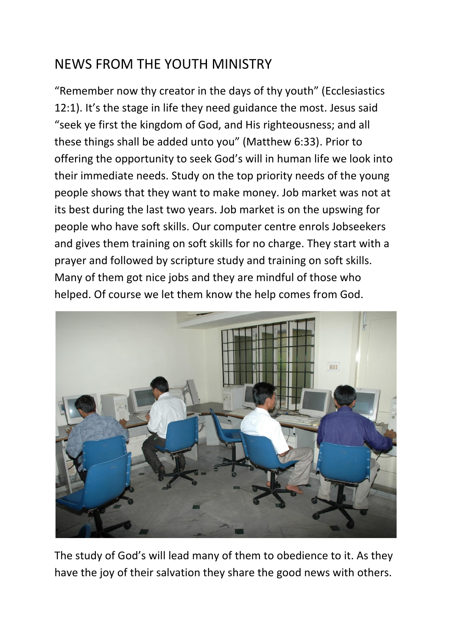## NEWS FROM THE YOUTH MINISTRY

"Remember now thy creator in the days of thy youth" (Ecclesiastics 12:1). It's the stage in life they need guidance the most. Jesus said "seek ye first the kingdom of God, and His righteousness; and all these things shall be added unto you" (Matthew 6:33). Prior to offering the opportunity to seek God's will in human life we look into their immediate needs. Study on the top priority needs of the young people shows that they want to make money. Job market was not at its best during the last two years. Job market is on the upswing for people who have soft skills. Our computer centre enrols Jobseekers and gives them training on soft skills for no charge. They start with a prayer and followed by scripture study and training on soft skills. Many of them got nice jobs and they are mindful of those who helped. Of course we let them know the help comes from God.



The study of God's will lead many of them to obedience to it. As they have the joy of their salvation they share the good news with others.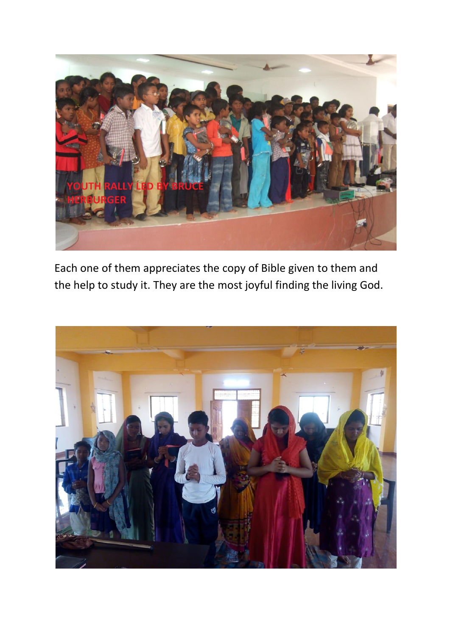

Each one of them appreciates the copy of Bible given to them and the help to study it. They are the most joyful finding the living God.

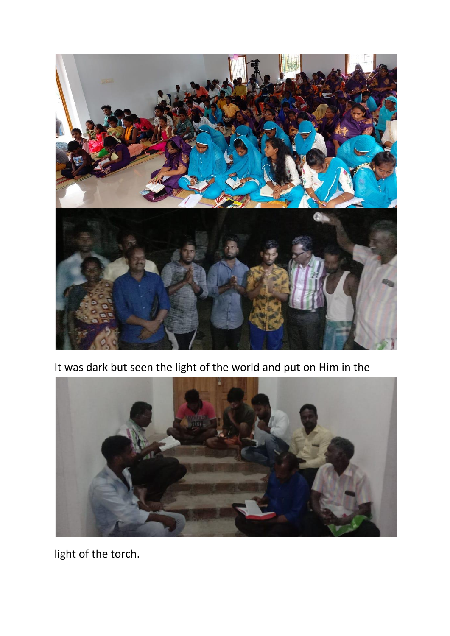

It was dark but seen the light of the world and put on Him in the



light of the torch.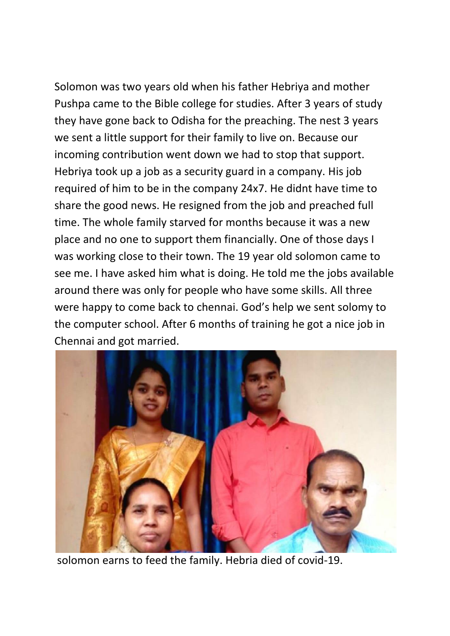Solomon was two years old when his father Hebriya and mother Pushpa came to the Bible college for studies. After 3 years of study they have gone back to Odisha for the preaching. The nest 3 years we sent a little support for their family to live on. Because our incoming contribution went down we had to stop that support. Hebriya took up a job as a security guard in a company. His job required of him to be in the company 24x7. He didnt have time to share the good news. He resigned from the job and preached full time. The whole family starved for months because it was a new place and no one to support them financially. One of those days I was working close to their town. The 19 year old solomon came to see me. I have asked him what is doing. He told me the jobs available around there was only for people who have some skills. All three were happy to come back to chennai. God's help we sent solomy to the computer school. After 6 months of training he got a nice job in Chennai and got married.



solomon earns to feed the family. Hebria died of covid-19.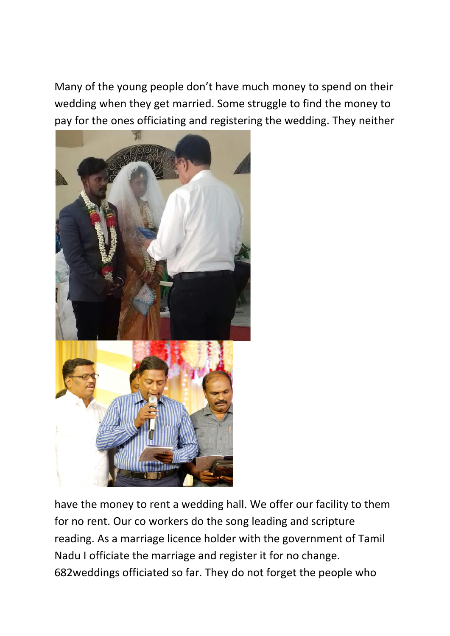Many of the young people don't have much money to spend on their wedding when they get married. Some struggle to find the money to pay for the ones officiating and registering the wedding. They neither



have the money to rent a wedding hall. We offer our facility to them for no rent. Our co workers do the song leading and scripture reading. As a marriage licence holder with the government of Tamil Nadu I officiate the marriage and register it for no change. 682weddings officiated so far. They do not forget the people who